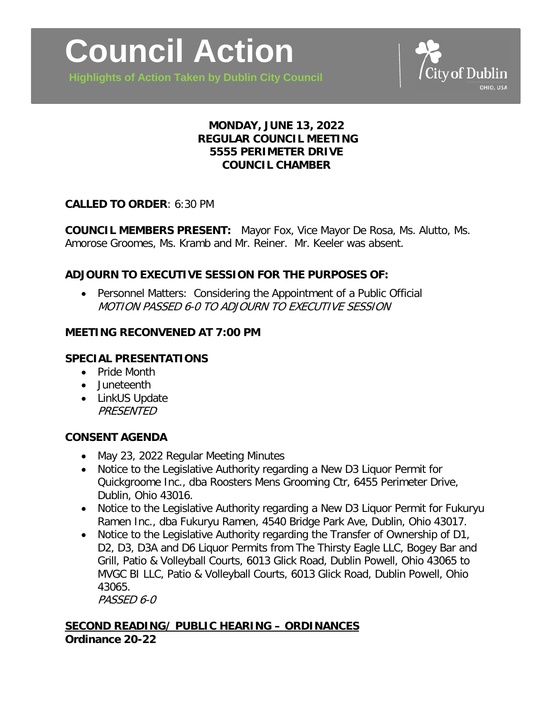

**Highlights of Action Taken by Dublin City Council**



## **MONDAY, JUNE 13, 2022 REGULAR COUNCIL MEETING 5555 PERIMETER DRIVE COUNCIL CHAMBER**

#### **CALLED TO ORDER**: 6:30 PM

**COUNCIL MEMBERS PRESENT:** Mayor Fox, Vice Mayor De Rosa, Ms. Alutto, Ms. Amorose Groomes, Ms. Kramb and Mr. Reiner. Mr. Keeler was absent.

## **ADJOURN TO EXECUTIVE SESSION FOR THE PURPOSES OF:**

• Personnel Matters: Considering the Appointment of a Public Official MOTION PASSED 6-0 TO ADJOURN TO EXECUTIVE SESSION

#### **MEETING RECONVENED AT 7:00 PM**

## **SPECIAL PRESENTATIONS**

- Pride Month
- Juneteenth
- LinkUS Update **PRESENTED**

#### **CONSENT AGENDA**

- May 23, 2022 Regular Meeting Minutes
- Notice to the Legislative Authority regarding a New D3 Liquor Permit for Quickgroome Inc., dba Roosters Mens Grooming Ctr, 6455 Perimeter Drive, Dublin, Ohio 43016.
- Notice to the Legislative Authority regarding a New D3 Liquor Permit for Fukuryu Ramen Inc., dba Fukuryu Ramen, 4540 Bridge Park Ave, Dublin, Ohio 43017.
- Notice to the Legislative Authority regarding the Transfer of Ownership of D1, D2, D3, D3A and D6 Liquor Permits from The Thirsty Eagle LLC, Bogey Bar and Grill, Patio & Volleyball Courts, 6013 Glick Road, Dublin Powell, Ohio 43065 to MVGC BI LLC, Patio & Volleyball Courts, 6013 Glick Road, Dublin Powell, Ohio 43065.

PASSED 6-0

# **SECOND READING/ PUBLIC HEARING – ORDINANCES Ordinance 20-22**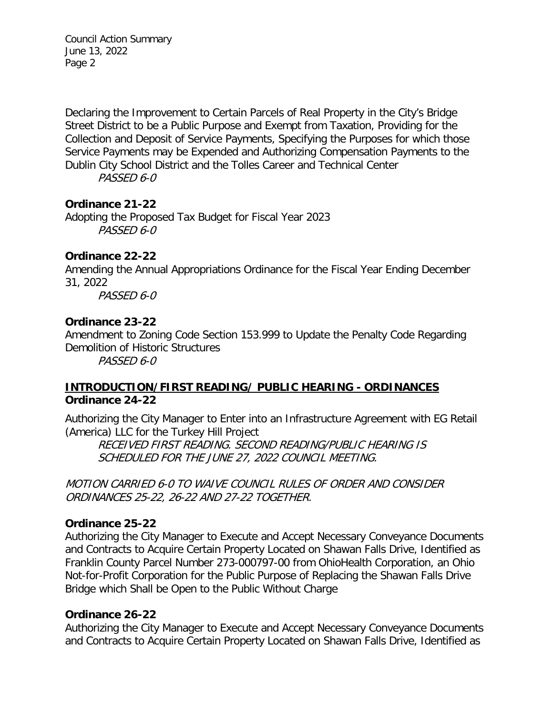Council Action Summary June 13, 2022 Page 2

Declaring the Improvement to Certain Parcels of Real Property in the City's Bridge Street District to be a Public Purpose and Exempt from Taxation, Providing for the Collection and Deposit of Service Payments, Specifying the Purposes for which those Service Payments may be Expended and Authorizing Compensation Payments to the Dublin City School District and the Tolles Career and Technical Center

PASSED 6-0

### **Ordinance 21-22**

Adopting the Proposed Tax Budget for Fiscal Year 2023 PASSED 6-0

#### **Ordinance 22-22**

Amending the Annual Appropriations Ordinance for the Fiscal Year Ending December 31, 2022

PASSED 6-0

### **Ordinance 23-22**

Amendment to Zoning Code Section 153.999 to Update the Penalty Code Regarding Demolition of Historic Structures

PASSED 6-0

## **INTRODUCTION/FIRST READING/ PUBLIC HEARING - ORDINANCES Ordinance 24-22**

Authorizing the City Manager to Enter into an Infrastructure Agreement with EG Retail (America) LLC for the Turkey Hill Project

RECEIVED FIRST READING. SECOND READING/PUBLIC HEARING IS SCHEDULED FOR THE JUNE 27, 2022 COUNCIL MEETING.

MOTION CARRIED 6-0 TO WAIVE COUNCIL RULES OF ORDER AND CONSIDER ORDINANCES 25-22, 26-22 AND 27-22 TOGETHER.

#### **Ordinance 25-22**

Authorizing the City Manager to Execute and Accept Necessary Conveyance Documents and Contracts to Acquire Certain Property Located on Shawan Falls Drive, Identified as Franklin County Parcel Number 273-000797-00 from OhioHealth Corporation, an Ohio Not-for-Profit Corporation for the Public Purpose of Replacing the Shawan Falls Drive Bridge which Shall be Open to the Public Without Charge

#### **Ordinance 26-22**

Authorizing the City Manager to Execute and Accept Necessary Conveyance Documents and Contracts to Acquire Certain Property Located on Shawan Falls Drive, Identified as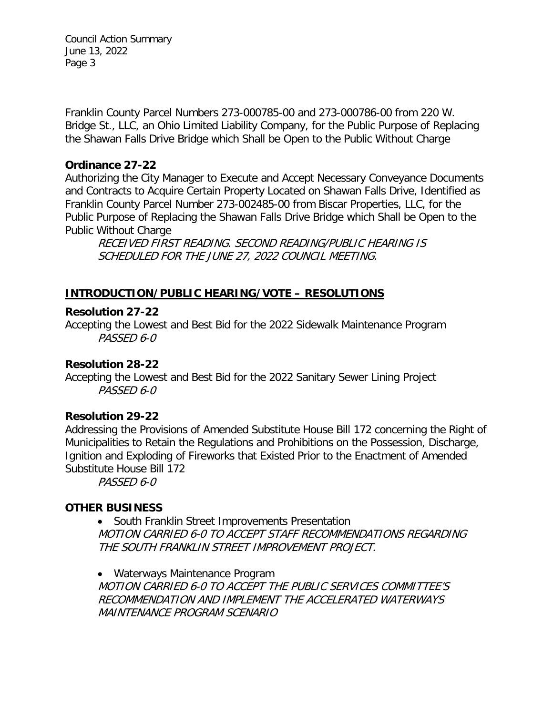Council Action Summary June 13, 2022 Page 3

Franklin County Parcel Numbers 273-000785-00 and 273-000786-00 from 220 W. Bridge St., LLC, an Ohio Limited Liability Company, for the Public Purpose of Replacing the Shawan Falls Drive Bridge which Shall be Open to the Public Without Charge

### **Ordinance 27-22**

Authorizing the City Manager to Execute and Accept Necessary Conveyance Documents and Contracts to Acquire Certain Property Located on Shawan Falls Drive, Identified as Franklin County Parcel Number 273-002485-00 from Biscar Properties, LLC, for the Public Purpose of Replacing the Shawan Falls Drive Bridge which Shall be Open to the Public Without Charge

RECEIVED FIRST READING. SECOND READING/PUBLIC HEARING IS SCHEDULED FOR THE JUNE 27, 2022 COUNCIL MEETING.

# **INTRODUCTION/PUBLIC HEARING/VOTE – RESOLUTIONS**

### **Resolution 27-22**

Accepting the Lowest and Best Bid for the 2022 Sidewalk Maintenance Program PASSED 6-0

## **Resolution 28-22**

Accepting the Lowest and Best Bid for the 2022 Sanitary Sewer Lining Project PASSED 6-0

## **Resolution 29-22**

Addressing the Provisions of Amended Substitute House Bill 172 concerning the Right of Municipalities to Retain the Regulations and Prohibitions on the Possession, Discharge, Ignition and Exploding of Fireworks that Existed Prior to the Enactment of Amended Substitute House Bill 172

PASSED 6-0

## **OTHER BUSINESS**

• South Franklin Street Improvements Presentation MOTION CARRIED 6-0 TO ACCEPT STAFF RECOMMENDATIONS REGARDING THE SOUTH FRANKLIN STREET IMPROVEMENT PROJECT.

• Waterways Maintenance Program MOTION CARRIED 6-0 TO ACCEPT THE PUBLIC SERVICES COMMITTEE'S RECOMMENDATION AND IMPLEMENT THE ACCELERATED WATERWAYS MAINTENANCE PROGRAM SCENARIO